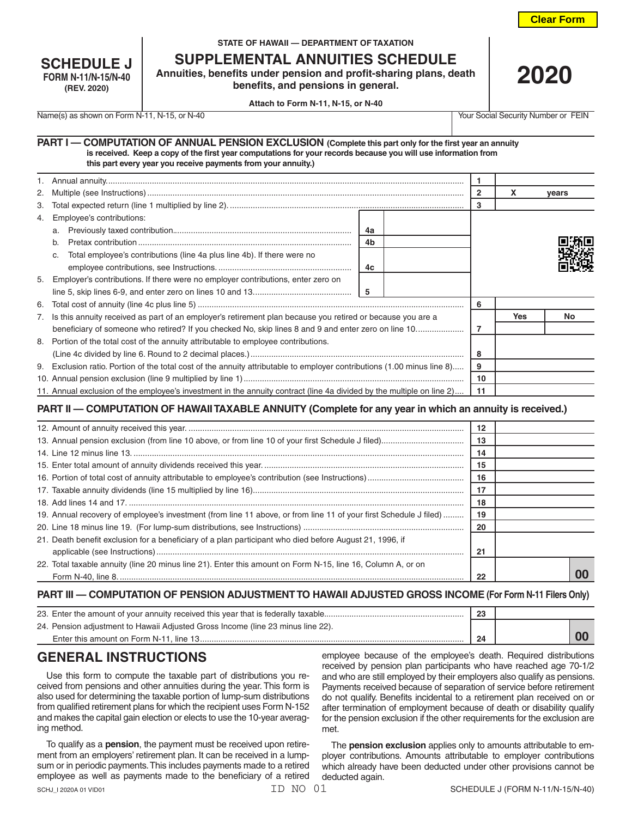**Clear Form**

| <b>SCHEDULE J</b>          |
|----------------------------|
| <b>FORM N-11/N-15/N-40</b> |
| (REV. 2020)                |

#### **STATE OF HAWAII — DEPARTMENT OF TAXATION**

**SUPPLEMENTAL ANNUITIES SCHEDULE**

**Annuities, benefits under pension and profit-sharing plans, death benefits, and pensions in general.**

**2020**

**Attach to Form N-11, N-15, or N-40**

Name(s) as shown on Form N-11, N-15, or N-40 Your Social Security Number or FEIN

#### **PART I — COMPUTATION OF ANNUAL PENSION EXCLUSION (Complete this part only for the first year an annuity is received. Keep a copy of the first year computations for your records because you will use information from this part every year you receive payments from your annuity.)**

| 2. |                                                                                                                         | 2  | x          | vears |  |
|----|-------------------------------------------------------------------------------------------------------------------------|----|------------|-------|--|
| 3. |                                                                                                                         | 3  |            |       |  |
|    | 4. Employee's contributions:                                                                                            |    |            |       |  |
|    | 4a<br>a.                                                                                                                |    |            |       |  |
|    | 4b<br>b.                                                                                                                |    |            |       |  |
|    | Total employee's contributions (line 4a plus line 4b). If there were no<br>C.                                           |    |            |       |  |
|    | 4c                                                                                                                      |    |            |       |  |
|    | 5. Employer's contributions. If there were no employer contributions, enter zero on                                     |    |            |       |  |
|    | -5                                                                                                                      |    |            |       |  |
|    |                                                                                                                         | 6  |            |       |  |
|    | 7. Is this annuity received as part of an employer's retirement plan because you retired or because you are a           |    | <b>Yes</b> | No.   |  |
|    | beneficiary of someone who retired? If you checked No, skip lines 8 and 9 and enter zero on line 10                     | 7  |            |       |  |
|    | 8. Portion of the total cost of the annuity attributable to employee contributions.                                     |    |            |       |  |
|    |                                                                                                                         | 8  |            |       |  |
|    | 9. Exclusion ratio. Portion of the total cost of the annuity attributable to employer contributions (1.00 minus line 8) | 9  |            |       |  |
|    |                                                                                                                         | 10 |            |       |  |
|    | 11. Annual exclusion of the employee's investment in the annuity contract (line 4a divided by the multiple on line 2)   | 11 |            |       |  |

## **PART II — COMPUTATION OF HAWAII TAXABLE ANNUITY (Complete for any year in which an annuity is received.)**

|                                                                                                                   | 12 |    |
|-------------------------------------------------------------------------------------------------------------------|----|----|
|                                                                                                                   | 13 |    |
|                                                                                                                   | 14 |    |
|                                                                                                                   | 15 |    |
|                                                                                                                   | 16 |    |
|                                                                                                                   | 17 |    |
|                                                                                                                   | 18 |    |
| 19. Annual recovery of employee's investment (from line 11 above, or from line 11 of your first Schedule J filed) | 19 |    |
|                                                                                                                   | 20 |    |
| 21. Death benefit exclusion for a beneficiary of a plan participant who died before August 21, 1996, if           |    |    |
|                                                                                                                   | 21 |    |
| 22. Total taxable annuity (line 20 minus line 21). Enter this amount on Form N-15, line 16, Column A, or on       |    |    |
|                                                                                                                   | 22 | 00 |

### **PART III — COMPUTATION OF PENSION ADJUSTMENT TO HAWAII ADJUSTED GROSS INCOME (For Form N-11 Filers Only)**

| 23. Enter the amount of your annuity received this year that is federally taxable | 23 |  |  |
|-----------------------------------------------------------------------------------|----|--|--|
| 24. Pension adjustment to Hawaii Adjusted Gross Income (line 23 minus line 22).   |    |  |  |
| Enter this amount on Form N-11, line 13                                           | 24 |  |  |

# **GENERAL INSTRUCTIONS**

Use this form to compute the taxable part of distributions you received from pensions and other annuities during the year. This form is also used for determining the taxable portion of lump-sum distributions from qualified retirement plans for which the recipient uses Form N-152 and makes the capital gain election or elects to use the 10-year averaging method.

To qualify as a **pension**, the payment must be received upon retirement from an employers' retirement plan. It can be received in a lumpsum or in periodic payments. This includes payments made to a retired employee as well as payments made to the beneficiary of a retired

employee because of the employee's death. Required distributions received by pension plan participants who have reached age 70-1/2 and who are still employed by their employers also qualify as pensions. Payments received because of separation of service before retirement do not qualify. Benefits incidental to a retirement plan received on or after termination of employment because of death or disability qualify for the pension exclusion if the other requirements for the exclusion are met.

The **pension exclusion** applies only to amounts attributable to employer contributions. Amounts attributable to employer contributions which already have been deducted under other provisions cannot be deducted again.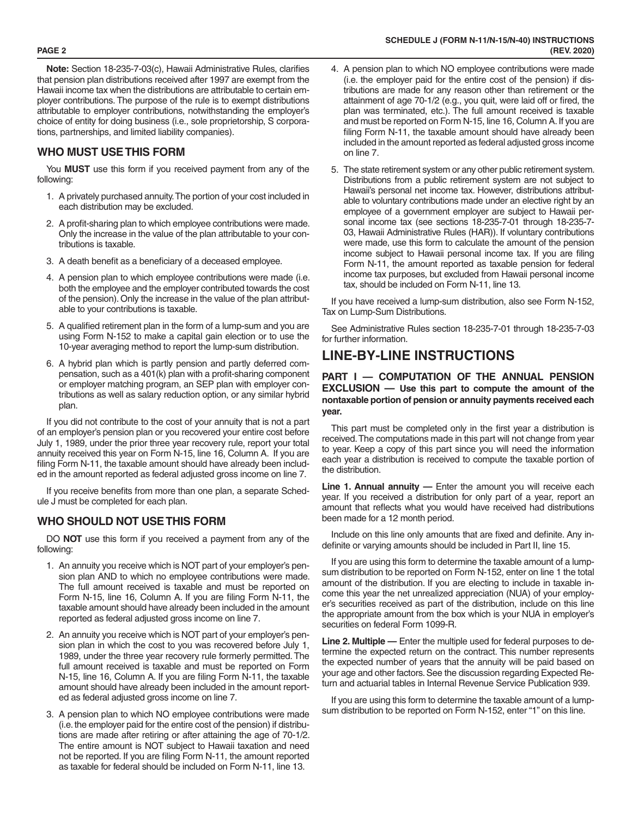**Note:** Section 18-235-7-03(c), Hawaii Administrative Rules, clarifies that pension plan distributions received after 1997 are exempt from the Hawaii income tax when the distributions are attributable to certain employer contributions. The purpose of the rule is to exempt distributions attributable to employer contributions, notwithstanding the employer's choice of entity for doing business (i.e., sole proprietorship, S corporations, partnerships, and limited liability companies).

## **WHO MUST USE THIS FORM**

You **MUST** use this form if you received payment from any of the following:

- 1. A privately purchased annuity. The portion of your cost included in each distribution may be excluded.
- 2. A profit-sharing plan to which employee contributions were made. Only the increase in the value of the plan attributable to your contributions is taxable.
- 3. A death benefit as a beneficiary of a deceased employee.
- 4. A pension plan to which employee contributions were made (i.e. both the employee and the employer contributed towards the cost of the pension). Only the increase in the value of the plan attributable to your contributions is taxable.
- 5. A qualified retirement plan in the form of a lump-sum and you are using Form N-152 to make a capital gain election or to use the 10-year averaging method to report the lump-sum distribution.
- 6. A hybrid plan which is partly pension and partly deferred compensation, such as a 401(k) plan with a profit-sharing component or employer matching program, an SEP plan with employer contributions as well as salary reduction option, or any similar hybrid plan.

If you did not contribute to the cost of your annuity that is not a part of an employer's pension plan or you recovered your entire cost before July 1, 1989, under the prior three year recovery rule, report your total annuity received this year on Form N-15, line 16, Column A. If you are filing Form N-11, the taxable amount should have already been included in the amount reported as federal adjusted gross income on line 7.

If you receive benefits from more than one plan, a separate Schedule J must be completed for each plan.

### **WHO SHOULD NOT USE THIS FORM**

DO **NOT** use this form if you received a payment from any of the following:

- 1. An annuity you receive which is NOT part of your employer's pension plan AND to which no employee contributions were made. The full amount received is taxable and must be reported on Form N-15, line 16, Column A. If you are filing Form N-11, the taxable amount should have already been included in the amount reported as federal adjusted gross income on line 7.
- 2. An annuity you receive which is NOT part of your employer's pension plan in which the cost to you was recovered before July 1, 1989, under the three year recovery rule formerly permitted. The full amount received is taxable and must be reported on Form N-15, line 16, Column A. If you are filing Form N-11, the taxable amount should have already been included in the amount reported as federal adjusted gross income on line 7.
- 3. A pension plan to which NO employee contributions were made (i.e. the employer paid for the entire cost of the pension) if distributions are made after retiring or after attaining the age of 70-1/2. The entire amount is NOT subject to Hawaii taxation and need not be reported. If you are filing Form N-11, the amount reported as taxable for federal should be included on Form N-11, line 13.
- 4. A pension plan to which NO employee contributions were made (i.e. the employer paid for the entire cost of the pension) if distributions are made for any reason other than retirement or the attainment of age 70-1/2 (e.g., you quit, were laid off or fired, the plan was terminated, etc.). The full amount received is taxable and must be reported on Form N-15, line 16, Column A. If you are filing Form N-11, the taxable amount should have already been included in the amount reported as federal adjusted gross income on line 7.
- 5. The state retirement system or any other public retirement system. Distributions from a public retirement system are not subject to Hawaii's personal net income tax. However, distributions attributable to voluntary contributions made under an elective right by an employee of a government employer are subject to Hawaii personal income tax (see sections 18-235-7-01 through 18-235-7- 03, Hawaii Administrative Rules (HAR)). If voluntary contributions were made, use this form to calculate the amount of the pension income subject to Hawaii personal income tax. If you are filing Form N-11, the amount reported as taxable pension for federal income tax purposes, but excluded from Hawaii personal income tax, should be included on Form N-11, line 13.

If you have received a lump-sum distribution, also see Form N-152, Tax on Lump-Sum Distributions.

See Administrative Rules section 18-235-7-01 through 18-235-7-03 for further information.

## **LINE-BY-LINE INSTRUCTIONS**

#### **PART I — COMPUTATION OF THE ANNUAL PENSION EXCLUSION — Use this part to compute the amount of the nontaxable portion of pension or annuity payments received each year.**

This part must be completed only in the first year a distribution is received. The computations made in this part will not change from year to year. Keep a copy of this part since you will need the information each year a distribution is received to compute the taxable portion of the distribution.

**Line 1. Annual annuity —** Enter the amount you will receive each year. If you received a distribution for only part of a year, report an amount that reflects what you would have received had distributions been made for a 12 month period.

Include on this line only amounts that are fixed and definite. Any indefinite or varying amounts should be included in Part II, line 15.

If you are using this form to determine the taxable amount of a lumpsum distribution to be reported on Form N-152, enter on line 1 the total amount of the distribution. If you are electing to include in taxable income this year the net unrealized appreciation (NUA) of your employer's securities received as part of the distribution, include on this line the appropriate amount from the box which is your NUA in employer's securities on federal Form 1099-R.

**Line 2. Multiple —** Enter the multiple used for federal purposes to determine the expected return on the contract. This number represents the expected number of years that the annuity will be paid based on your age and other factors. See the discussion regarding Expected Return and actuarial tables in Internal Revenue Service Publication 939.

If you are using this form to determine the taxable amount of a lumpsum distribution to be reported on Form N-152, enter "1" on this line.